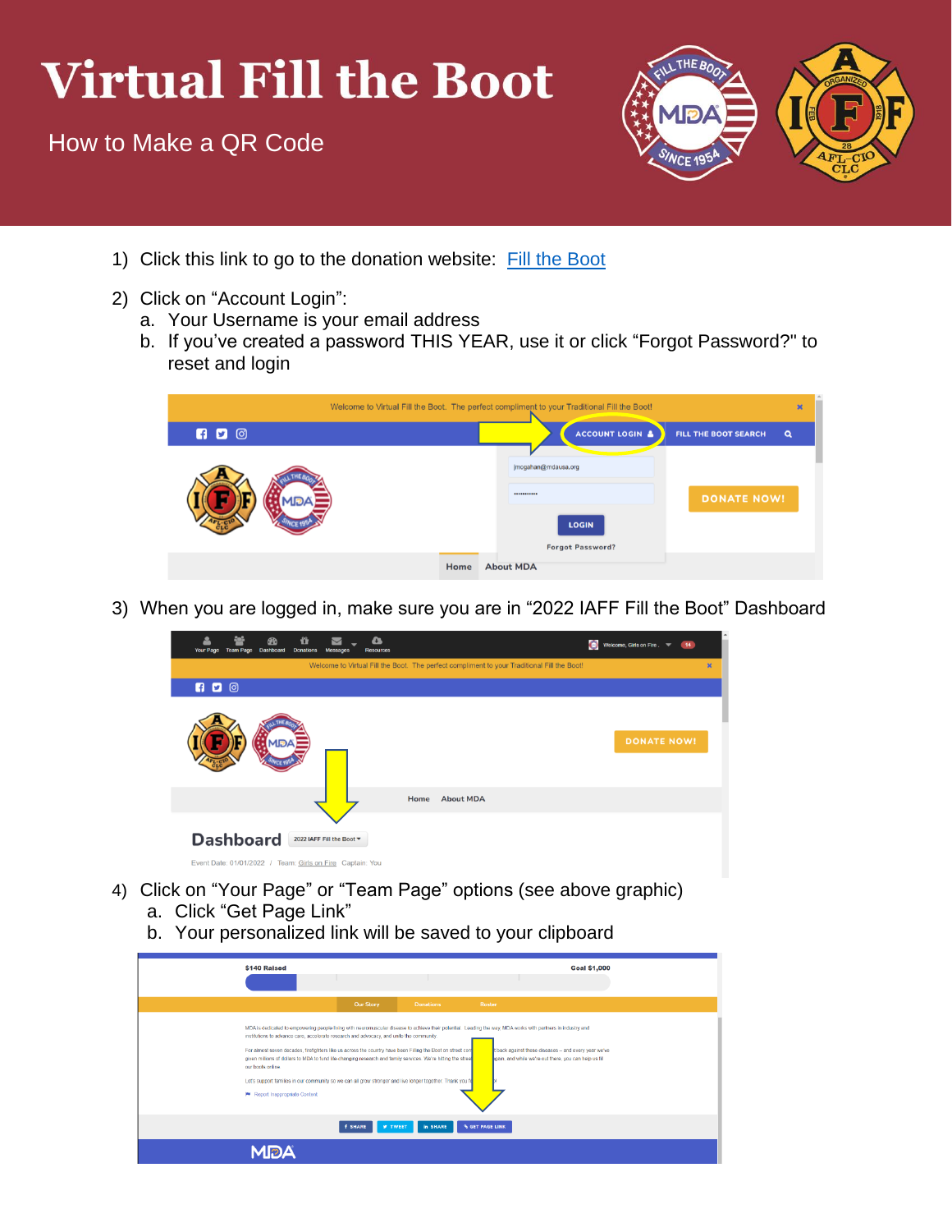## **Virtual Fill the Boot**

How to Make a QR Code



- 1) Click this link to go to the donation website: [Fill the Boot](https://filltheboot.donordrive.com/index.cfm?fuseaction=donorDrive.event&eventID=525)
- 2) Click on "Account Login":
	- a. Your Username is your email address
	- b. If you've created a password THIS YEAR, use it or click "Forgot Password?" to reset and login

|     |      | Welcome to Virtual Fill the Boot. The perfect compliment to your Traditional Fill the Boot! | $\boldsymbol{\mathsf{x}}$ |
|-----|------|---------------------------------------------------------------------------------------------|---------------------------|
| 600 |      | ACCOUNT LOGIN &<br><b>FILL THE BOOT SEARCH</b><br>$\alpha$                                  |                           |
|     |      | jmcgahan@mdausa.org<br><br><b>DONATE NOW!</b><br><b>LOGIN</b><br><b>Forgot Password?</b>    |                           |
|     | Home | <b>About MDA</b>                                                                            |                           |

3) When you are logged in, make sure you are in "2022 IAFF Fill the Boot" Dashboard

| <b>Your Page</b> | <b>Team Page</b> | <b>Dashboard</b> | ũ<br><b>Donations</b> | $\checkmark$<br>Messages                                                               | a<br><b>Resources</b> |      |                                                                                             | $\bullet$ | Welcome, Girls on Fire . <b>Way</b> 14 |  |                |
|------------------|------------------|------------------|-----------------------|----------------------------------------------------------------------------------------|-----------------------|------|---------------------------------------------------------------------------------------------|-----------|----------------------------------------|--|----------------|
|                  |                  |                  |                       |                                                                                        |                       |      | Welcome to Virtual Fill the Boot. The perfect compliment to your Traditional Fill the Boot! |           |                                        |  | $\pmb{\times}$ |
| <b>600</b>       |                  |                  |                       |                                                                                        |                       |      |                                                                                             |           |                                        |  |                |
|                  |                  |                  |                       |                                                                                        |                       |      |                                                                                             |           | <b>DONATE NOW!</b>                     |  |                |
|                  |                  |                  |                       |                                                                                        |                       | Home | <b>About MDA</b>                                                                            |           |                                        |  |                |
|                  | <b>Dashboard</b> |                  |                       | 2022 IAFF Fill the Boot ▼<br>Event Date: 01/01/2022 / Team: Girls on Fire Captain: You |                       |      |                                                                                             |           |                                        |  |                |

- 4) Click on "Your Page" or "Team Page" options (see above graphic)
	- a. Click "Get Page Link"
	- b. Your personalized link will be saved to your clipboard

| \$140 Raised                                                                                                                                                                                                                                                                                                                                                                                                                                                                                                                                                                                                                                                  |                                  |                  |                        | <b>Goal \$1,000</b>                                                                                            |  |
|---------------------------------------------------------------------------------------------------------------------------------------------------------------------------------------------------------------------------------------------------------------------------------------------------------------------------------------------------------------------------------------------------------------------------------------------------------------------------------------------------------------------------------------------------------------------------------------------------------------------------------------------------------------|----------------------------------|------------------|------------------------|----------------------------------------------------------------------------------------------------------------|--|
|                                                                                                                                                                                                                                                                                                                                                                                                                                                                                                                                                                                                                                                               | <b>Our Story</b>                 | <b>Donations</b> | Roster                 |                                                                                                                |  |
| MDA is dedicated to empowering people living with neuromuscular disease to achieve their potential. Leading the way, MDA works with partners in industry and<br>institutions to advance care, accelerate research and advocacy, and unite the community.<br>For almost seven decades, firefighters like us across the country have been Filling the Boot on street con-<br>given millions of dollars to MDA to fund life-changing research and family services. We're hitting the street<br>our boots online.<br>Let's support families in our community so we can all grow stronger and live longer together. Thank you fo<br>P Report Inappropriate Content |                                  |                  |                        | t back against these diseases - and every year we've<br>lgain, and while we're out there, you can help us fill |  |
|                                                                                                                                                                                                                                                                                                                                                                                                                                                                                                                                                                                                                                                               | <b>f SHARE</b><br><b>V TWEET</b> | <b>in SHARE</b>  | <b>S GET PAGE LINK</b> |                                                                                                                |  |
| MDA                                                                                                                                                                                                                                                                                                                                                                                                                                                                                                                                                                                                                                                           |                                  |                  |                        |                                                                                                                |  |